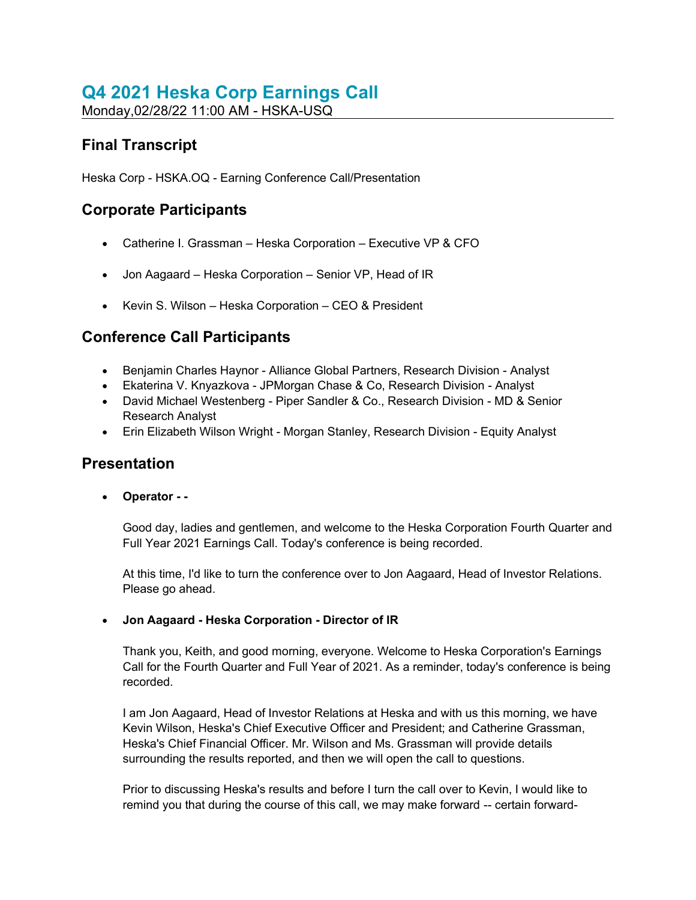# Q4 2021 Heska Corp Earnings Call

Monday,02/28/22 11:00 AM - HSKA-USQ

# Final Transcript

Heska Corp - HSKA.OQ - Earning Conference Call/Presentation

# Corporate Participants

- Catherine I. Grassman Heska Corporation Executive VP & CFO
- Jon Aagaard Heska Corporation Senior VP, Head of IR
- Kevin S. Wilson Heska Corporation CEO & President

# Conference Call Participants

- Benjamin Charles Haynor Alliance Global Partners, Research Division Analyst
- Ekaterina V. Knyazkova JPMorgan Chase & Co, Research Division Analyst
- David Michael Westenberg Piper Sandler & Co., Research Division MD & Senior Research Analyst
- Erin Elizabeth Wilson Wright Morgan Stanley, Research Division Equity Analyst

# **Presentation**

Operator - -

Good day, ladies and gentlemen, and welcome to the Heska Corporation Fourth Quarter and Full Year 2021 Earnings Call. Today's conference is being recorded.

At this time, I'd like to turn the conference over to Jon Aagaard, Head of Investor Relations. Please go ahead.

# Jon Aagaard - Heska Corporation - Director of IR

Thank you, Keith, and good morning, everyone. Welcome to Heska Corporation's Earnings Call for the Fourth Quarter and Full Year of 2021. As a reminder, today's conference is being recorded.

I am Jon Aagaard, Head of Investor Relations at Heska and with us this morning, we have Kevin Wilson, Heska's Chief Executive Officer and President; and Catherine Grassman, Heska's Chief Financial Officer. Mr. Wilson and Ms. Grassman will provide details surrounding the results reported, and then we will open the call to questions.

Prior to discussing Heska's results and before I turn the call over to Kevin, I would like to remind you that during the course of this call, we may make forward -- certain forward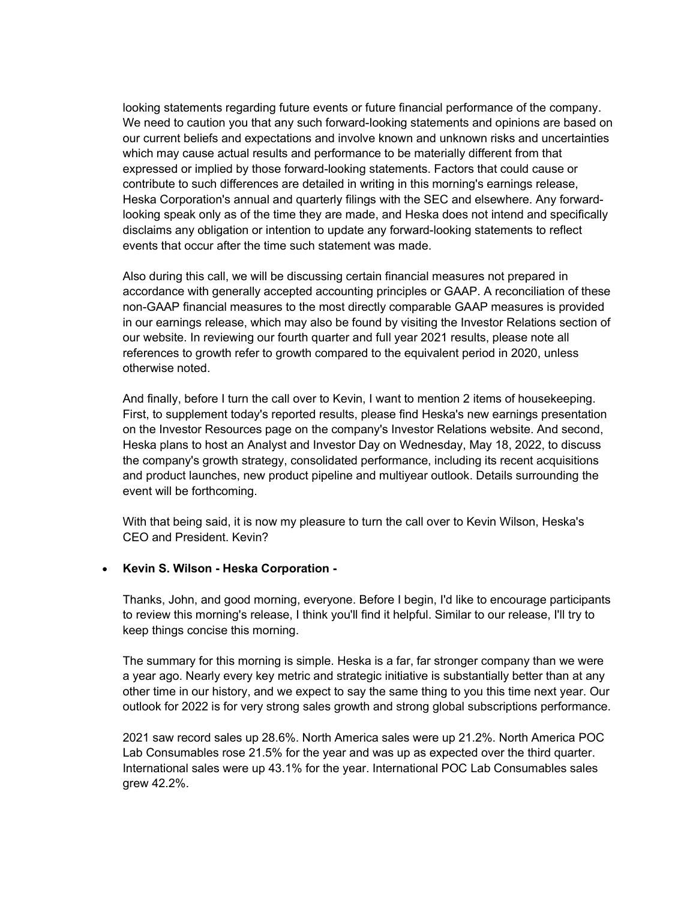looking statements regarding future events or future financial performance of the company. We need to caution you that any such forward-looking statements and opinions are based on our current beliefs and expectations and involve known and unknown risks and uncertainties which may cause actual results and performance to be materially different from that expressed or implied by those forward-looking statements. Factors that could cause or contribute to such differences are detailed in writing in this morning's earnings release, Heska Corporation's annual and quarterly filings with the SEC and elsewhere. Any forwardlooking speak only as of the time they are made, and Heska does not intend and specifically disclaims any obligation or intention to update any forward-looking statements to reflect events that occur after the time such statement was made.

Also during this call, we will be discussing certain financial measures not prepared in accordance with generally accepted accounting principles or GAAP. A reconciliation of these non-GAAP financial measures to the most directly comparable GAAP measures is provided in our earnings release, which may also be found by visiting the Investor Relations section of our website. In reviewing our fourth quarter and full year 2021 results, please note all references to growth refer to growth compared to the equivalent period in 2020, unless otherwise noted.

And finally, before I turn the call over to Kevin, I want to mention 2 items of housekeeping. First, to supplement today's reported results, please find Heska's new earnings presentation on the Investor Resources page on the company's Investor Relations website. And second, Heska plans to host an Analyst and Investor Day on Wednesday, May 18, 2022, to discuss the company's growth strategy, consolidated performance, including its recent acquisitions and product launches, new product pipeline and multiyear outlook. Details surrounding the event will be forthcoming.

With that being said, it is now my pleasure to turn the call over to Kevin Wilson, Heska's CEO and President. Kevin?

#### • Kevin S. Wilson - Heska Corporation -

Thanks, John, and good morning, everyone. Before I begin, I'd like to encourage participants to review this morning's release, I think you'll find it helpful. Similar to our release, I'll try to keep things concise this morning.

The summary for this morning is simple. Heska is a far, far stronger company than we were a year ago. Nearly every key metric and strategic initiative is substantially better than at any other time in our history, and we expect to say the same thing to you this time next year. Our outlook for 2022 is for very strong sales growth and strong global subscriptions performance.

2021 saw record sales up 28.6%. North America sales were up 21.2%. North America POC Lab Consumables rose 21.5% for the year and was up as expected over the third quarter. International sales were up 43.1% for the year. International POC Lab Consumables sales grew 42.2%.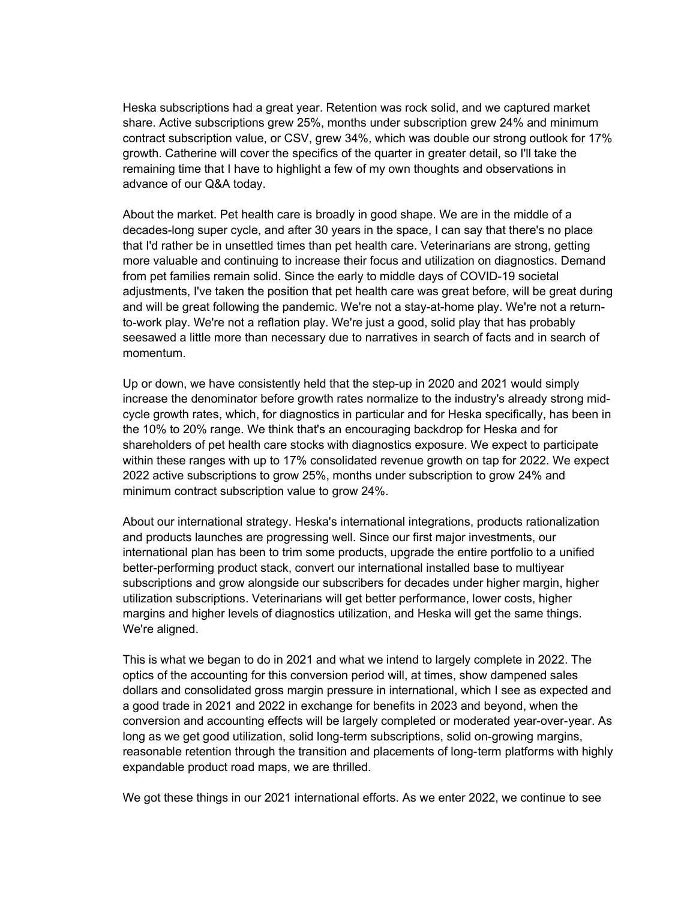Heska subscriptions had a great year. Retention was rock solid, and we captured market share. Active subscriptions grew 25%, months under subscription grew 24% and minimum contract subscription value, or CSV, grew 34%, which was double our strong outlook for 17% growth. Catherine will cover the specifics of the quarter in greater detail, so I'll take the remaining time that I have to highlight a few of my own thoughts and observations in advance of our Q&A today.

About the market. Pet health care is broadly in good shape. We are in the middle of a decades-long super cycle, and after 30 years in the space, I can say that there's no place that I'd rather be in unsettled times than pet health care. Veterinarians are strong, getting more valuable and continuing to increase their focus and utilization on diagnostics. Demand from pet families remain solid. Since the early to middle days of COVID-19 societal adjustments, I've taken the position that pet health care was great before, will be great during and will be great following the pandemic. We're not a stay-at-home play. We're not a returnto-work play. We're not a reflation play. We're just a good, solid play that has probably seesawed a little more than necessary due to narratives in search of facts and in search of momentum.

Up or down, we have consistently held that the step-up in 2020 and 2021 would simply increase the denominator before growth rates normalize to the industry's already strong midcycle growth rates, which, for diagnostics in particular and for Heska specifically, has been in the 10% to 20% range. We think that's an encouraging backdrop for Heska and for shareholders of pet health care stocks with diagnostics exposure. We expect to participate within these ranges with up to 17% consolidated revenue growth on tap for 2022. We expect 2022 active subscriptions to grow 25%, months under subscription to grow 24% and minimum contract subscription value to grow 24%.

About our international strategy. Heska's international integrations, products rationalization and products launches are progressing well. Since our first major investments, our international plan has been to trim some products, upgrade the entire portfolio to a unified better-performing product stack, convert our international installed base to multiyear subscriptions and grow alongside our subscribers for decades under higher margin, higher utilization subscriptions. Veterinarians will get better performance, lower costs, higher margins and higher levels of diagnostics utilization, and Heska will get the same things. We're aligned.

This is what we began to do in 2021 and what we intend to largely complete in 2022. The optics of the accounting for this conversion period will, at times, show dampened sales dollars and consolidated gross margin pressure in international, which I see as expected and a good trade in 2021 and 2022 in exchange for benefits in 2023 and beyond, when the conversion and accounting effects will be largely completed or moderated year-over-year. As long as we get good utilization, solid long-term subscriptions, solid on-growing margins, reasonable retention through the transition and placements of long-term platforms with highly expandable product road maps, we are thrilled.

We got these things in our 2021 international efforts. As we enter 2022, we continue to see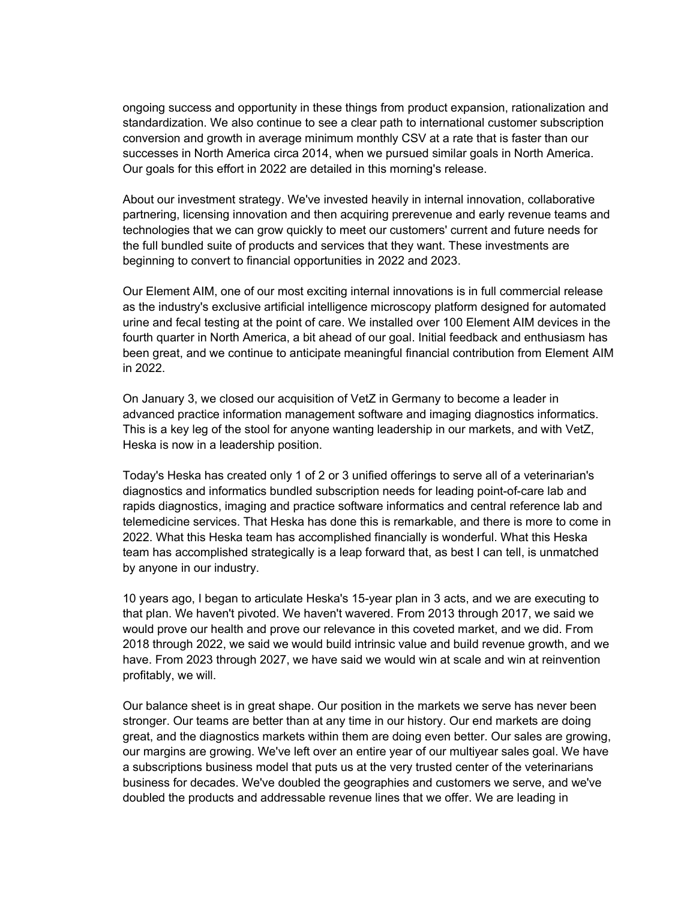ongoing success and opportunity in these things from product expansion, rationalization and standardization. We also continue to see a clear path to international customer subscription conversion and growth in average minimum monthly CSV at a rate that is faster than our successes in North America circa 2014, when we pursued similar goals in North America. Our goals for this effort in 2022 are detailed in this morning's release.

About our investment strategy. We've invested heavily in internal innovation, collaborative partnering, licensing innovation and then acquiring prerevenue and early revenue teams and technologies that we can grow quickly to meet our customers' current and future needs for the full bundled suite of products and services that they want. These investments are beginning to convert to financial opportunities in 2022 and 2023.

Our Element AIM, one of our most exciting internal innovations is in full commercial release as the industry's exclusive artificial intelligence microscopy platform designed for automated urine and fecal testing at the point of care. We installed over 100 Element AIM devices in the fourth quarter in North America, a bit ahead of our goal. Initial feedback and enthusiasm has been great, and we continue to anticipate meaningful financial contribution from Element AIM in 2022.

On January 3, we closed our acquisition of VetZ in Germany to become a leader in advanced practice information management software and imaging diagnostics informatics. This is a key leg of the stool for anyone wanting leadership in our markets, and with VetZ, Heska is now in a leadership position.

Today's Heska has created only 1 of 2 or 3 unified offerings to serve all of a veterinarian's diagnostics and informatics bundled subscription needs for leading point-of-care lab and rapids diagnostics, imaging and practice software informatics and central reference lab and telemedicine services. That Heska has done this is remarkable, and there is more to come in 2022. What this Heska team has accomplished financially is wonderful. What this Heska team has accomplished strategically is a leap forward that, as best I can tell, is unmatched by anyone in our industry.

10 years ago, I began to articulate Heska's 15-year plan in 3 acts, and we are executing to that plan. We haven't pivoted. We haven't wavered. From 2013 through 2017, we said we would prove our health and prove our relevance in this coveted market, and we did. From 2018 through 2022, we said we would build intrinsic value and build revenue growth, and we have. From 2023 through 2027, we have said we would win at scale and win at reinvention profitably, we will.

Our balance sheet is in great shape. Our position in the markets we serve has never been stronger. Our teams are better than at any time in our history. Our end markets are doing great, and the diagnostics markets within them are doing even better. Our sales are growing, our margins are growing. We've left over an entire year of our multiyear sales goal. We have a subscriptions business model that puts us at the very trusted center of the veterinarians business for decades. We've doubled the geographies and customers we serve, and we've doubled the products and addressable revenue lines that we offer. We are leading in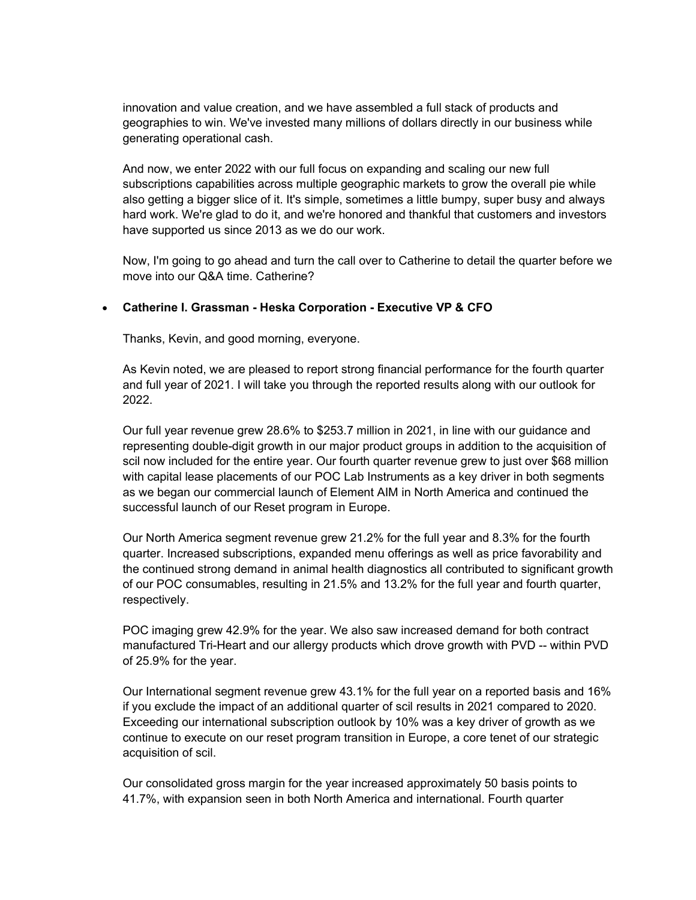innovation and value creation, and we have assembled a full stack of products and geographies to win. We've invested many millions of dollars directly in our business while generating operational cash.

And now, we enter 2022 with our full focus on expanding and scaling our new full subscriptions capabilities across multiple geographic markets to grow the overall pie while also getting a bigger slice of it. It's simple, sometimes a little bumpy, super busy and always hard work. We're glad to do it, and we're honored and thankful that customers and investors have supported us since 2013 as we do our work.

Now, I'm going to go ahead and turn the call over to Catherine to detail the quarter before we move into our Q&A time. Catherine?

#### Catherine I. Grassman - Heska Corporation - Executive VP & CFO

Thanks, Kevin, and good morning, everyone.

As Kevin noted, we are pleased to report strong financial performance for the fourth quarter and full year of 2021. I will take you through the reported results along with our outlook for 2022.

Our full year revenue grew 28.6% to \$253.7 million in 2021, in line with our guidance and representing double-digit growth in our major product groups in addition to the acquisition of scil now included for the entire year. Our fourth quarter revenue grew to just over \$68 million with capital lease placements of our POC Lab Instruments as a key driver in both segments as we began our commercial launch of Element AIM in North America and continued the successful launch of our Reset program in Europe.

Our North America segment revenue grew 21.2% for the full year and 8.3% for the fourth quarter. Increased subscriptions, expanded menu offerings as well as price favorability and the continued strong demand in animal health diagnostics all contributed to significant growth of our POC consumables, resulting in 21.5% and 13.2% for the full year and fourth quarter, respectively.

POC imaging grew 42.9% for the year. We also saw increased demand for both contract manufactured Tri-Heart and our allergy products which drove growth with PVD -- within PVD of 25.9% for the year.

Our International segment revenue grew 43.1% for the full year on a reported basis and 16% if you exclude the impact of an additional quarter of scil results in 2021 compared to 2020. Exceeding our international subscription outlook by 10% was a key driver of growth as we continue to execute on our reset program transition in Europe, a core tenet of our strategic acquisition of scil.

Our consolidated gross margin for the year increased approximately 50 basis points to 41.7%, with expansion seen in both North America and international. Fourth quarter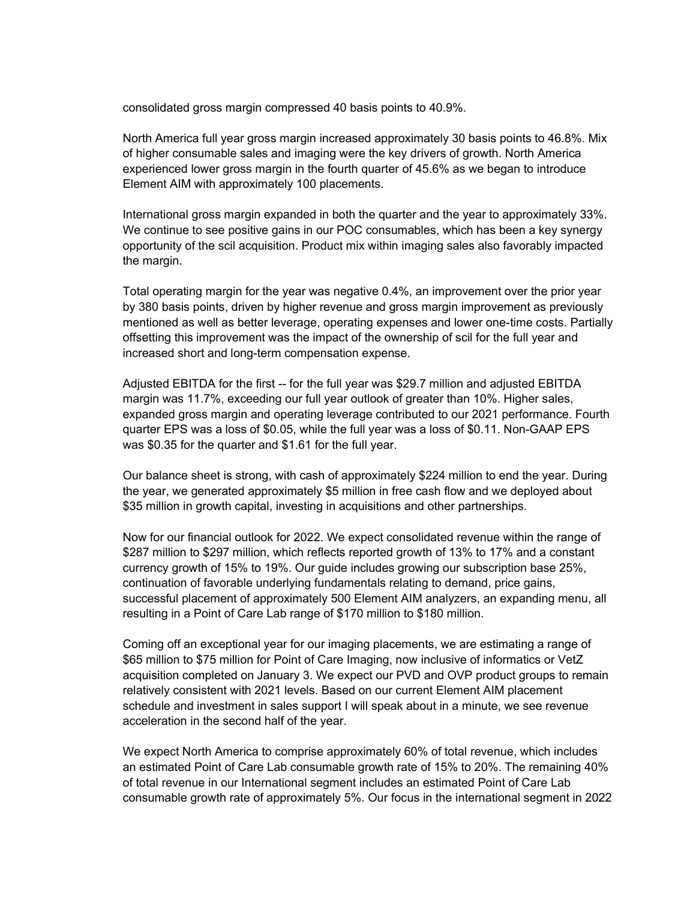consolidated gross margin compressed 40 basis points to 40.9%.

North America full year gross margin increased approximately 30 basis points to 46.8%. Mix of higher consumable sales and imaging were the key drivers of growth. North America experienced lower gross margin in the fourth quarter of 45.6% as we began to introduce Element AIM with approximately 100 placements.

International gross margin expanded in both the quarter and the year to approximately 33%. We continue to see positive gains in our POC consumables, which has been a key synergy opportunity of the scil acquisition. Product mix within imaging sales also favorably impacted the margin.

Total operating margin for the year was negative 0.4%, an improvement over the prior year by 380 basis points, driven by higher revenue and gross margin improvement as previously mentioned as well as better leverage, operating expenses and lower one-time costs. Partially offsetting this improvement was the impact of the ownership of scil for the full year and increased short and long-term compensation expense.

Adjusted EBITDA for the first -- for the full year was \$29.7 million and adjusted EBITDA margin was 11.7%, exceeding our full year outlook of greater than 10%. Higher sales, expanded gross margin and operating leverage contributed to our 2021 performance. Fourth quarter EPS was a loss of \$0.05, while the full year was a loss of \$0.11. Non-GAAP EPS was \$0.35 for the quarter and \$1.61 for the full year.

Our balance sheet is strong, with cash of approximately \$224 million to end the year. During the year, we generated approximately \$5 million in free cash flow and we deployed about \$35 million in growth capital, investing in acquisitions and other partnerships.

Now for our financial outlook for 2022. We expect consolidated revenue within the range of \$287 million to \$297 million, which reflects reported growth of 13% to 17% and a constant currency growth of 15% to 19%. Our guide includes growing our subscription base 25%, continuation of favorable underlying fundamentals relating to demand, price gains, successful placement of approximately 500 Element AIM analyzers, an expanding menu, all resulting in a Point of Care Lab range of \$170 million to \$180 million.

Coming off an exceptional year for our imaging placements, we are estimating a range of \$65 million to \$75 million for Point of Care Imaging, now inclusive of informatics or VetZ acquisition completed on January 3. We expect our PVD and OVP product groups to remain relatively consistent with 2021 levels. Based on our current Element AIM placement schedule and investment in sales support I will speak about in a minute, we see revenue acceleration in the second half of the year.

We expect North America to comprise approximately 60% of total revenue, which includes an estimated Point of Care Lab consumable growth rate of 15% to 20%. The remaining 40% of total revenue in our International segment includes an estimated Point of Care Lab consumable growth rate of approximately 5%. Our focus in the international segment in 2022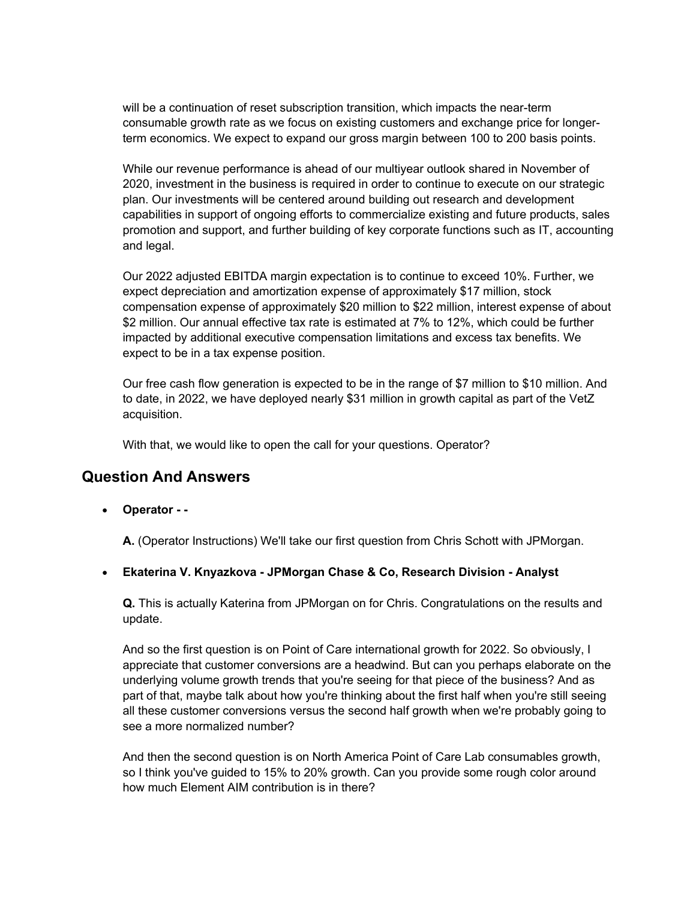will be a continuation of reset subscription transition, which impacts the near-term consumable growth rate as we focus on existing customers and exchange price for longerterm economics. We expect to expand our gross margin between 100 to 200 basis points.

While our revenue performance is ahead of our multiyear outlook shared in November of 2020, investment in the business is required in order to continue to execute on our strategic plan. Our investments will be centered around building out research and development capabilities in support of ongoing efforts to commercialize existing and future products, sales promotion and support, and further building of key corporate functions such as IT, accounting and legal.

Our 2022 adjusted EBITDA margin expectation is to continue to exceed 10%. Further, we expect depreciation and amortization expense of approximately \$17 million, stock compensation expense of approximately \$20 million to \$22 million, interest expense of about \$2 million. Our annual effective tax rate is estimated at 7% to 12%, which could be further impacted by additional executive compensation limitations and excess tax benefits. We expect to be in a tax expense position.

Our free cash flow generation is expected to be in the range of \$7 million to \$10 million. And to date, in 2022, we have deployed nearly \$31 million in growth capital as part of the VetZ acquisition.

With that, we would like to open the call for your questions. Operator?

# Question And Answers

Operator - -

A. (Operator Instructions) We'll take our first question from Chris Schott with JPMorgan.

Ekaterina V. Knyazkova - JPMorgan Chase & Co, Research Division - Analyst

Q. This is actually Katerina from JPMorgan on for Chris. Congratulations on the results and update.

And so the first question is on Point of Care international growth for 2022. So obviously, I appreciate that customer conversions are a headwind. But can you perhaps elaborate on the underlying volume growth trends that you're seeing for that piece of the business? And as part of that, maybe talk about how you're thinking about the first half when you're still seeing all these customer conversions versus the second half growth when we're probably going to see a more normalized number?

And then the second question is on North America Point of Care Lab consumables growth, so I think you've guided to 15% to 20% growth. Can you provide some rough color around how much Element AIM contribution is in there?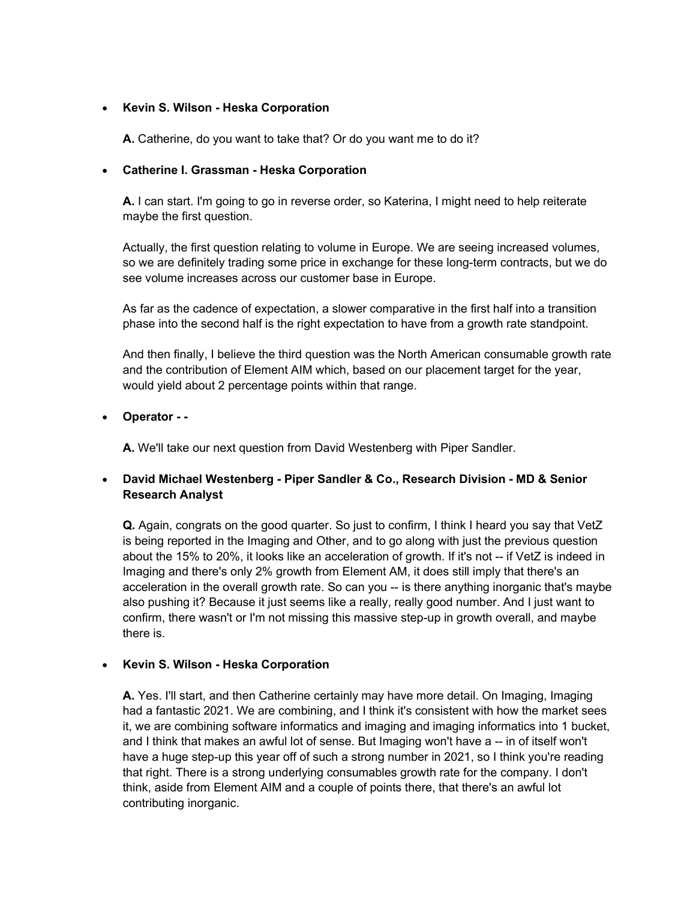#### • Kevin S. Wilson - Heska Corporation

A. Catherine, do you want to take that? Or do you want me to do it?

# Catherine I. Grassman - Heska Corporation

A. I can start. I'm going to go in reverse order, so Katerina, I might need to help reiterate maybe the first question.

Actually, the first question relating to volume in Europe. We are seeing increased volumes, so we are definitely trading some price in exchange for these long-term contracts, but we do see volume increases across our customer base in Europe.

As far as the cadence of expectation, a slower comparative in the first half into a transition phase into the second half is the right expectation to have from a growth rate standpoint.

And then finally, I believe the third question was the North American consumable growth rate and the contribution of Element AIM which, based on our placement target for the year, would yield about 2 percentage points within that range.

# • Operator - -

A. We'll take our next question from David Westenberg with Piper Sandler.

# David Michael Westenberg - Piper Sandler & Co., Research Division - MD & Senior Research Analyst

Q. Again, congrats on the good quarter. So just to confirm, I think I heard you say that VetZ is being reported in the Imaging and Other, and to go along with just the previous question about the 15% to 20%, it looks like an acceleration of growth. If it's not -- if VetZ is indeed in Imaging and there's only 2% growth from Element AM, it does still imply that there's an acceleration in the overall growth rate. So can you -- is there anything inorganic that's maybe also pushing it? Because it just seems like a really, really good number. And I just want to confirm, there wasn't or I'm not missing this massive step-up in growth overall, and maybe there is.

# • Kevin S. Wilson - Heska Corporation

A. Yes. I'll start, and then Catherine certainly may have more detail. On Imaging, Imaging had a fantastic 2021. We are combining, and I think it's consistent with how the market sees it, we are combining software informatics and imaging and imaging informatics into 1 bucket, and I think that makes an awful lot of sense. But Imaging won't have a -- in of itself won't have a huge step-up this year off of such a strong number in 2021, so I think you're reading that right. There is a strong underlying consumables growth rate for the company. I don't think, aside from Element AIM and a couple of points there, that there's an awful lot contributing inorganic.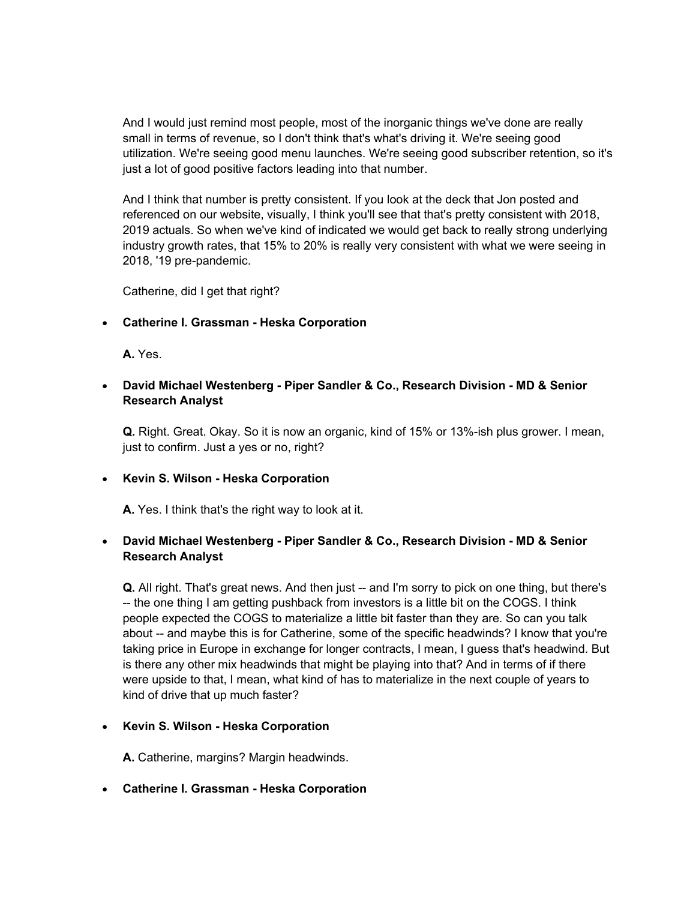And I would just remind most people, most of the inorganic things we've done are really small in terms of revenue, so I don't think that's what's driving it. We're seeing good utilization. We're seeing good menu launches. We're seeing good subscriber retention, so it's just a lot of good positive factors leading into that number.

And I think that number is pretty consistent. If you look at the deck that Jon posted and referenced on our website, visually, I think you'll see that that's pretty consistent with 2018, 2019 actuals. So when we've kind of indicated we would get back to really strong underlying industry growth rates, that 15% to 20% is really very consistent with what we were seeing in 2018, '19 pre-pandemic.

Catherine, did I get that right?

#### Catherine I. Grassman - Heska Corporation

A. Yes.

# David Michael Westenberg - Piper Sandler & Co., Research Division - MD & Senior Research Analyst

Q. Right. Great. Okay. So it is now an organic, kind of 15% or 13%-ish plus grower. I mean, just to confirm. Just a yes or no, right?

#### • Kevin S. Wilson - Heska Corporation

A. Yes. I think that's the right way to look at it.

# David Michael Westenberg - Piper Sandler & Co., Research Division - MD & Senior Research Analyst

Q. All right. That's great news. And then just -- and I'm sorry to pick on one thing, but there's -- the one thing I am getting pushback from investors is a little bit on the COGS. I think people expected the COGS to materialize a little bit faster than they are. So can you talk about -- and maybe this is for Catherine, some of the specific headwinds? I know that you're taking price in Europe in exchange for longer contracts, I mean, I guess that's headwind. But is there any other mix headwinds that might be playing into that? And in terms of if there were upside to that, I mean, what kind of has to materialize in the next couple of years to kind of drive that up much faster?

#### • Kevin S. Wilson - Heska Corporation

A. Catherine, margins? Margin headwinds.

#### Catherine I. Grassman - Heska Corporation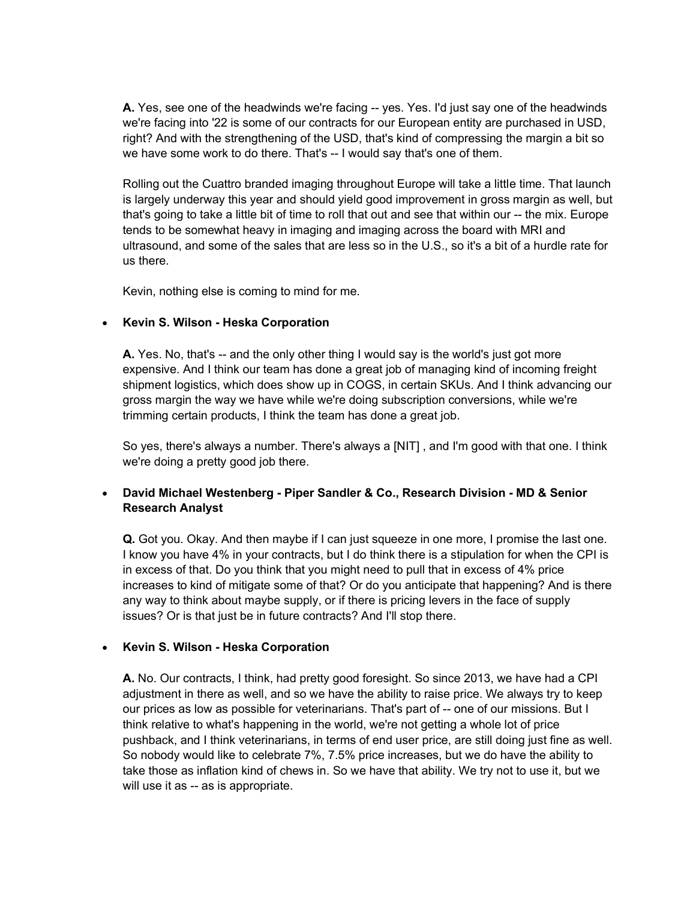A. Yes, see one of the headwinds we're facing -- yes. Yes. I'd just say one of the headwinds we're facing into '22 is some of our contracts for our European entity are purchased in USD, right? And with the strengthening of the USD, that's kind of compressing the margin a bit so we have some work to do there. That's -- I would say that's one of them.

Rolling out the Cuattro branded imaging throughout Europe will take a little time. That launch is largely underway this year and should yield good improvement in gross margin as well, but that's going to take a little bit of time to roll that out and see that within our -- the mix. Europe tends to be somewhat heavy in imaging and imaging across the board with MRI and ultrasound, and some of the sales that are less so in the U.S., so it's a bit of a hurdle rate for us there.

Kevin, nothing else is coming to mind for me.

#### • Kevin S. Wilson - Heska Corporation

A. Yes. No, that's -- and the only other thing I would say is the world's just got more expensive. And I think our team has done a great job of managing kind of incoming freight shipment logistics, which does show up in COGS, in certain SKUs. And I think advancing our gross margin the way we have while we're doing subscription conversions, while we're trimming certain products, I think the team has done a great job.

So yes, there's always a number. There's always a [NIT] , and I'm good with that one. I think we're doing a pretty good job there.

# David Michael Westenberg - Piper Sandler & Co., Research Division - MD & Senior Research Analyst

Q. Got you. Okay. And then maybe if I can just squeeze in one more, I promise the last one. I know you have 4% in your contracts, but I do think there is a stipulation for when the CPI is in excess of that. Do you think that you might need to pull that in excess of 4% price increases to kind of mitigate some of that? Or do you anticipate that happening? And is there any way to think about maybe supply, or if there is pricing levers in the face of supply issues? Or is that just be in future contracts? And I'll stop there.

#### • Kevin S. Wilson - Heska Corporation

A. No. Our contracts, I think, had pretty good foresight. So since 2013, we have had a CPI adjustment in there as well, and so we have the ability to raise price. We always try to keep our prices as low as possible for veterinarians. That's part of -- one of our missions. But I think relative to what's happening in the world, we're not getting a whole lot of price pushback, and I think veterinarians, in terms of end user price, are still doing just fine as well. So nobody would like to celebrate 7%, 7.5% price increases, but we do have the ability to take those as inflation kind of chews in. So we have that ability. We try not to use it, but we will use it as -- as is appropriate.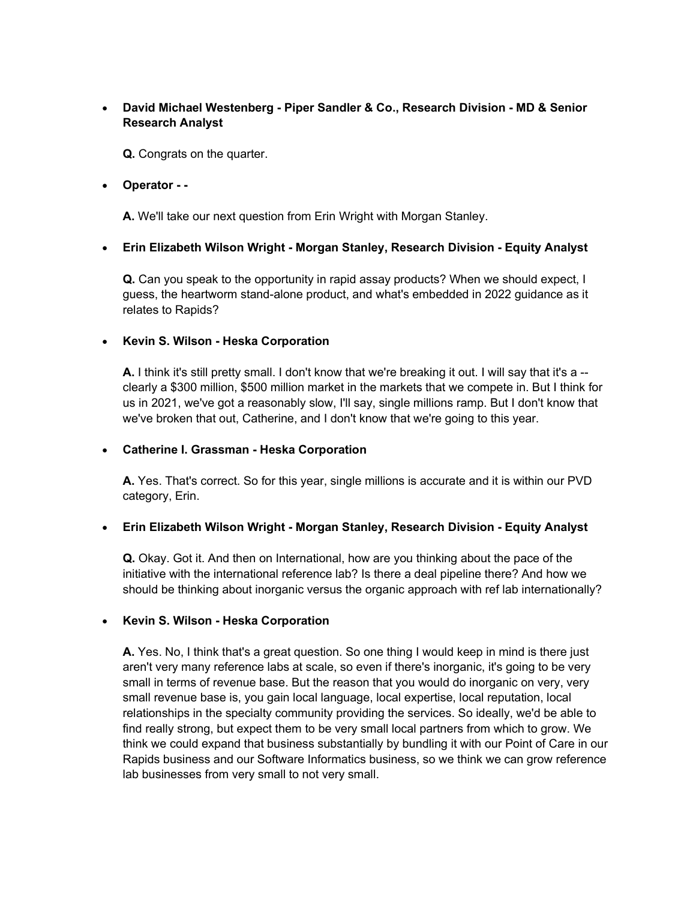# David Michael Westenberg - Piper Sandler & Co., Research Division - MD & Senior Research Analyst

Q. Congrats on the quarter.

#### Operator - -

A. We'll take our next question from Erin Wright with Morgan Stanley.

# Erin Elizabeth Wilson Wright - Morgan Stanley, Research Division - Equity Analyst

Q. Can you speak to the opportunity in rapid assay products? When we should expect, I guess, the heartworm stand-alone product, and what's embedded in 2022 guidance as it relates to Rapids?

# • Kevin S. Wilson - Heska Corporation

A. I think it's still pretty small. I don't know that we're breaking it out. I will say that it's a -clearly a \$300 million, \$500 million market in the markets that we compete in. But I think for us in 2021, we've got a reasonably slow, I'll say, single millions ramp. But I don't know that we've broken that out, Catherine, and I don't know that we're going to this year.

# Catherine I. Grassman - Heska Corporation

A. Yes. That's correct. So for this year, single millions is accurate and it is within our PVD category, Erin.

#### Erin Elizabeth Wilson Wright - Morgan Stanley, Research Division - Equity Analyst

Q. Okay. Got it. And then on International, how are you thinking about the pace of the initiative with the international reference lab? Is there a deal pipeline there? And how we should be thinking about inorganic versus the organic approach with ref lab internationally?

#### • Kevin S. Wilson - Heska Corporation

A. Yes. No, I think that's a great question. So one thing I would keep in mind is there just aren't very many reference labs at scale, so even if there's inorganic, it's going to be very small in terms of revenue base. But the reason that you would do inorganic on very, very small revenue base is, you gain local language, local expertise, local reputation, local relationships in the specialty community providing the services. So ideally, we'd be able to find really strong, but expect them to be very small local partners from which to grow. We think we could expand that business substantially by bundling it with our Point of Care in our Rapids business and our Software Informatics business, so we think we can grow reference lab businesses from very small to not very small.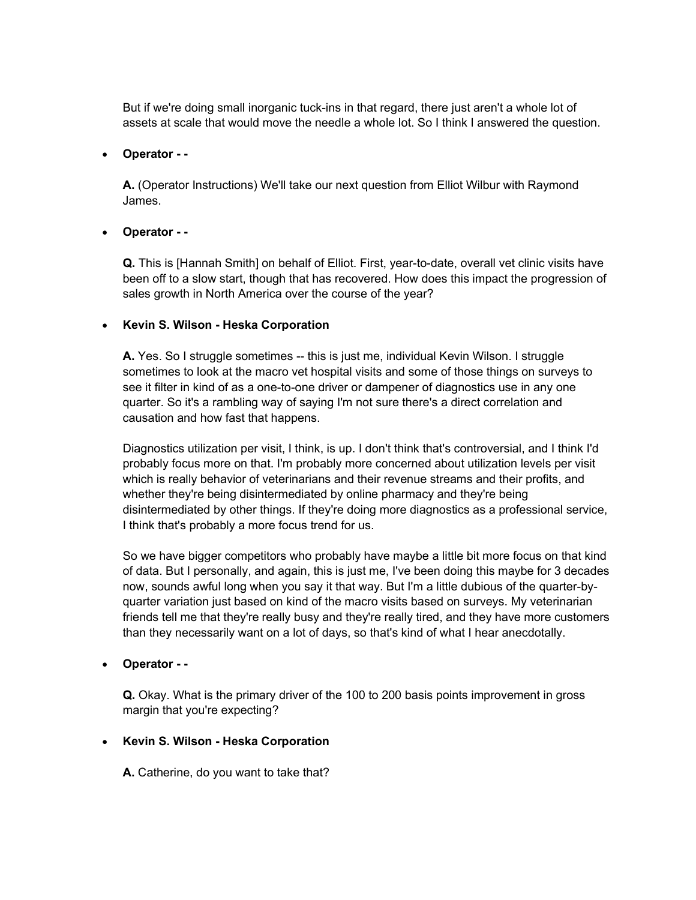But if we're doing small inorganic tuck-ins in that regard, there just aren't a whole lot of assets at scale that would move the needle a whole lot. So I think I answered the question.

#### Operator - -

A. (Operator Instructions) We'll take our next question from Elliot Wilbur with Raymond James.

# Operator - -

Q. This is [Hannah Smith] on behalf of Elliot. First, year-to-date, overall vet clinic visits have been off to a slow start, though that has recovered. How does this impact the progression of sales growth in North America over the course of the year?

# • Kevin S. Wilson - Heska Corporation

A. Yes. So I struggle sometimes -- this is just me, individual Kevin Wilson. I struggle sometimes to look at the macro vet hospital visits and some of those things on surveys to see it filter in kind of as a one-to-one driver or dampener of diagnostics use in any one quarter. So it's a rambling way of saying I'm not sure there's a direct correlation and causation and how fast that happens.

Diagnostics utilization per visit, I think, is up. I don't think that's controversial, and I think I'd probably focus more on that. I'm probably more concerned about utilization levels per visit which is really behavior of veterinarians and their revenue streams and their profits, and whether they're being disintermediated by online pharmacy and they're being disintermediated by other things. If they're doing more diagnostics as a professional service, I think that's probably a more focus trend for us.

So we have bigger competitors who probably have maybe a little bit more focus on that kind of data. But I personally, and again, this is just me, I've been doing this maybe for 3 decades now, sounds awful long when you say it that way. But I'm a little dubious of the quarter-byquarter variation just based on kind of the macro visits based on surveys. My veterinarian friends tell me that they're really busy and they're really tired, and they have more customers than they necessarily want on a lot of days, so that's kind of what I hear anecdotally.

# Operator - -

Q. Okay. What is the primary driver of the 100 to 200 basis points improvement in gross margin that you're expecting?

#### • Kevin S. Wilson - Heska Corporation

A. Catherine, do you want to take that?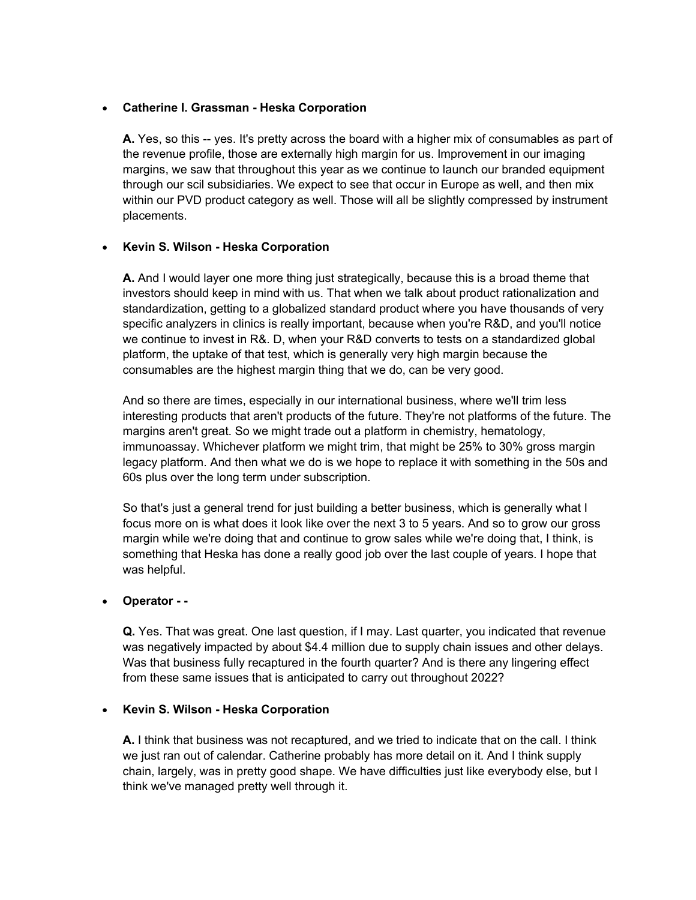# Catherine I. Grassman - Heska Corporation

A. Yes, so this -- yes. It's pretty across the board with a higher mix of consumables as part of the revenue profile, those are externally high margin for us. Improvement in our imaging margins, we saw that throughout this year as we continue to launch our branded equipment through our scil subsidiaries. We expect to see that occur in Europe as well, and then mix within our PVD product category as well. Those will all be slightly compressed by instrument placements.

# • Kevin S. Wilson - Heska Corporation

A. And I would layer one more thing just strategically, because this is a broad theme that investors should keep in mind with us. That when we talk about product rationalization and standardization, getting to a globalized standard product where you have thousands of very specific analyzers in clinics is really important, because when you're R&D, and you'll notice we continue to invest in R&. D, when your R&D converts to tests on a standardized global platform, the uptake of that test, which is generally very high margin because the consumables are the highest margin thing that we do, can be very good.

And so there are times, especially in our international business, where we'll trim less interesting products that aren't products of the future. They're not platforms of the future. The margins aren't great. So we might trade out a platform in chemistry, hematology, immunoassay. Whichever platform we might trim, that might be 25% to 30% gross margin legacy platform. And then what we do is we hope to replace it with something in the 50s and 60s plus over the long term under subscription.

So that's just a general trend for just building a better business, which is generally what I focus more on is what does it look like over the next 3 to 5 years. And so to grow our gross margin while we're doing that and continue to grow sales while we're doing that, I think, is something that Heska has done a really good job over the last couple of years. I hope that was helpful.

#### Operator - -

Q. Yes. That was great. One last question, if I may. Last quarter, you indicated that revenue was negatively impacted by about \$4.4 million due to supply chain issues and other delays. Was that business fully recaptured in the fourth quarter? And is there any lingering effect from these same issues that is anticipated to carry out throughout 2022?

#### • Kevin S. Wilson - Heska Corporation

A. I think that business was not recaptured, and we tried to indicate that on the call. I think we just ran out of calendar. Catherine probably has more detail on it. And I think supply chain, largely, was in pretty good shape. We have difficulties just like everybody else, but I think we've managed pretty well through it.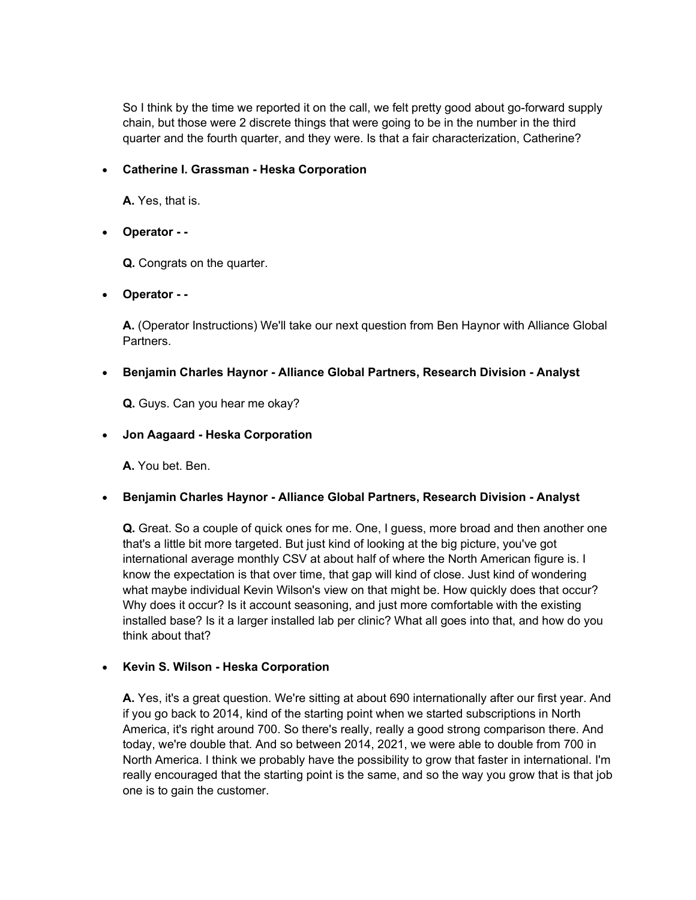So I think by the time we reported it on the call, we felt pretty good about go-forward supply chain, but those were 2 discrete things that were going to be in the number in the third quarter and the fourth quarter, and they were. Is that a fair characterization, Catherine?

# Catherine I. Grassman - Heska Corporation

A. Yes, that is.

Operator - -

Q. Congrats on the quarter.

# Operator - -

A. (Operator Instructions) We'll take our next question from Ben Haynor with Alliance Global Partners.

# Benjamin Charles Haynor - Alliance Global Partners, Research Division - Analyst

Q. Guys. Can you hear me okay?

# Jon Aagaard - Heska Corporation

A. You bet. Ben.

# Benjamin Charles Haynor - Alliance Global Partners, Research Division - Analyst

Q. Great. So a couple of quick ones for me. One, I guess, more broad and then another one that's a little bit more targeted. But just kind of looking at the big picture, you've got international average monthly CSV at about half of where the North American figure is. I know the expectation is that over time, that gap will kind of close. Just kind of wondering what maybe individual Kevin Wilson's view on that might be. How quickly does that occur? Why does it occur? Is it account seasoning, and just more comfortable with the existing installed base? Is it a larger installed lab per clinic? What all goes into that, and how do you think about that?

#### • Kevin S. Wilson - Heska Corporation

A. Yes, it's a great question. We're sitting at about 690 internationally after our first year. And if you go back to 2014, kind of the starting point when we started subscriptions in North America, it's right around 700. So there's really, really a good strong comparison there. And today, we're double that. And so between 2014, 2021, we were able to double from 700 in North America. I think we probably have the possibility to grow that faster in international. I'm really encouraged that the starting point is the same, and so the way you grow that is that job one is to gain the customer.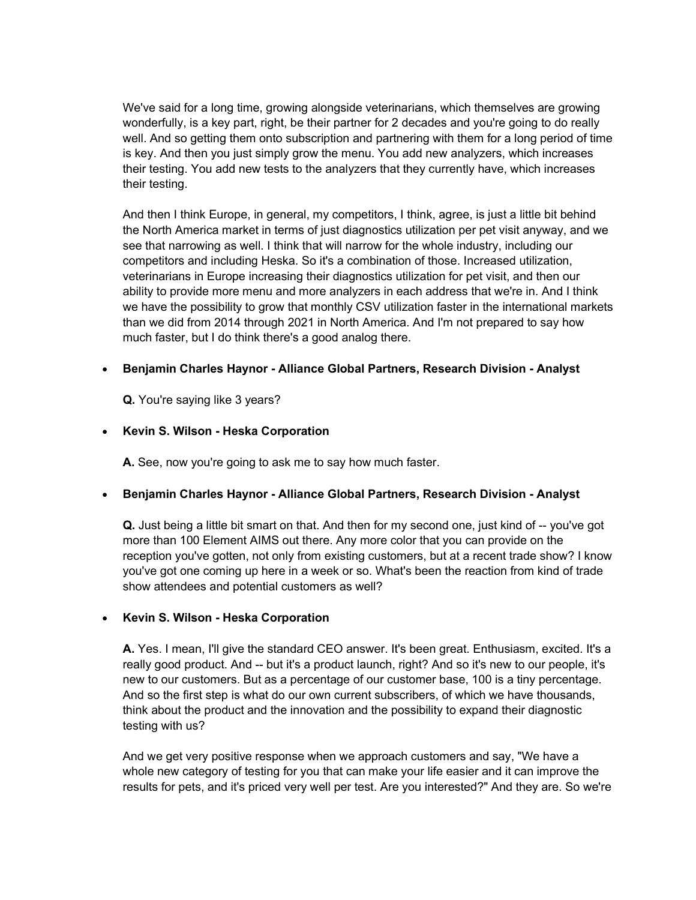We've said for a long time, growing alongside veterinarians, which themselves are growing wonderfully, is a key part, right, be their partner for 2 decades and you're going to do really well. And so getting them onto subscription and partnering with them for a long period of time is key. And then you just simply grow the menu. You add new analyzers, which increases their testing. You add new tests to the analyzers that they currently have, which increases their testing.

And then I think Europe, in general, my competitors, I think, agree, is just a little bit behind the North America market in terms of just diagnostics utilization per pet visit anyway, and we see that narrowing as well. I think that will narrow for the whole industry, including our competitors and including Heska. So it's a combination of those. Increased utilization, veterinarians in Europe increasing their diagnostics utilization for pet visit, and then our ability to provide more menu and more analyzers in each address that we're in. And I think we have the possibility to grow that monthly CSV utilization faster in the international markets than we did from 2014 through 2021 in North America. And I'm not prepared to say how much faster, but I do think there's a good analog there.

# Benjamin Charles Haynor - Alliance Global Partners, Research Division - Analyst

Q. You're saying like 3 years?

# • Kevin S. Wilson - Heska Corporation

A. See, now you're going to ask me to say how much faster.

# Benjamin Charles Haynor - Alliance Global Partners, Research Division - Analyst

Q. Just being a little bit smart on that. And then for my second one, just kind of -- you've got more than 100 Element AIMS out there. Any more color that you can provide on the reception you've gotten, not only from existing customers, but at a recent trade show? I know you've got one coming up here in a week or so. What's been the reaction from kind of trade show attendees and potential customers as well?

#### • Kevin S. Wilson - Heska Corporation

A. Yes. I mean, I'll give the standard CEO answer. It's been great. Enthusiasm, excited. It's a really good product. And -- but it's a product launch, right? And so it's new to our people, it's new to our customers. But as a percentage of our customer base, 100 is a tiny percentage. And so the first step is what do our own current subscribers, of which we have thousands, think about the product and the innovation and the possibility to expand their diagnostic testing with us?

And we get very positive response when we approach customers and say, "We have a whole new category of testing for you that can make your life easier and it can improve the results for pets, and it's priced very well per test. Are you interested?" And they are. So we're